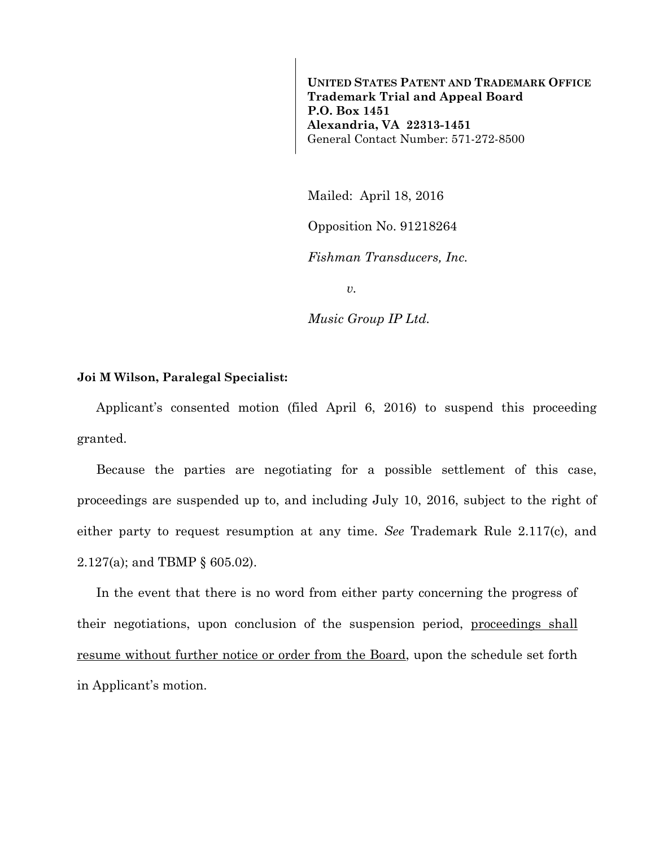**UNITED STATES PATENT AND TRADEMARK OFFICE Trademark Trial and Appeal Board P.O. Box 1451 Alexandria, VA 22313-1451**  General Contact Number: 571-272-8500

Mailed: April 18, 2016

Opposition No. 91218264

*Fishman Transducers, Inc.* 

*v.* 

*Music Group IP Ltd.* 

## **Joi M Wilson, Paralegal Specialist:**

Applicant's consented motion (filed April 6, 2016) to suspend this proceeding granted.

Because the parties are negotiating for a possible settlement of this case, proceedings are suspended up to, and including July 10, 2016, subject to the right of either party to request resumption at any time. *See* Trademark Rule 2.117(c), and 2.127(a); and TBMP § 605.02).

In the event that there is no word from either party concerning the progress of their negotiations, upon conclusion of the suspension period, proceedings shall resume without further notice or order from the Board, upon the schedule set forth in Applicant's motion.